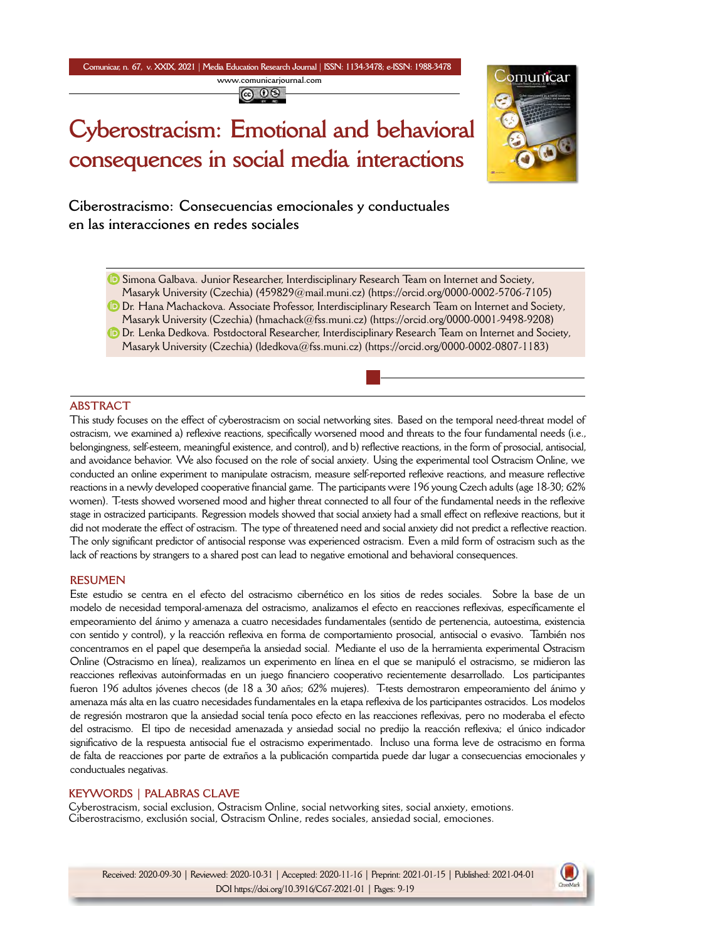**Comunicar, n. 67, v. XXIX, 2021** *|* **Media Education Research Journal** *|* **ISSN: 1134-3478; e-ISSN: 1988-3478 <www.comunicarjournal.com>**

@ 0ම

# **Cyberostracism: Emotional and behavioral consequences in social media interactions**



**Ciberostracismo: Consecuencias emocionales y conductuales en las interacciones en redes sociales**

**D** Simona Galbava. Junior Researcher, Interdisciplinary Research Team on Internet and Society,

- Masaryk University (Czechia) [\(459829@m](mailto:459829@mail.muni.cz)ail.muni.cz) [\(https://orcid.org/0000-000](https://orcid.org/0000-0002-5706-7105)2-5706-7105) Dr. Hana Machackova. Associate Professor, Interdisciplinary Research Team on Internet and Society,
- Masaryk University (Czechia) [\(hmachack@fss.muni](mailto:hmachack@fss.muni.cz).cz) (<https://orcid.org/0000-0001-9498-9208>)
- **D** Dr. Lenka Dedkova. Postdoctoral Researcher, Interdisciplinary Research Team on Internet and Society, Masaryk University (Czechia) [\(ldedkova@fss.muni](mailto:ldedkova@fss.muni.cz).cz) [\(https://orcid.org/0000-0002-0807-](https://orcid.org/0000-0002-0807-1183)1183)

# **ABSTRACT**

This study focuses on the effect of cyberostracism on social networking sites. Based on the temporal need-threat model of ostracism, we examined a) reflexive reactions, specifically worsened mood and threats to the four fundamental needs (i.e., belongingness, self-esteem, meaningful existence, and control), and b) reflective reactions, in the form of prosocial, antisocial, and avoidance behavior. We also focused on the role of social anxiety. Using the experimental tool Ostracism Online, we conducted an online experiment to manipulate ostracism, measure self-reported reflexive reactions, and measure reflective reactions in a newly developed cooperative financial game. The participants were 196 young Czech adults (age 18-30; 62% women). T-tests showed worsened mood and higher threat connected to all four of the fundamental needs in the reflexive stage in ostracized participants. Regression models showed that social anxiety had a small effect on reflexive reactions, but it did not moderate the effect of ostracism. The type of threatened need and social anxiety did not predict a reflective reaction. The only significant predictor of antisocial response was experienced ostracism. Even a mild form of ostracism such as the lack of reactions by strangers to a shared post can lead to negative emotional and behavioral consequences.

#### **RESUMEN**

Este estudio se centra en el efecto del ostracismo cibernético en los sitios de redes sociales. Sobre la base de un modelo de necesidad temporal-amenaza del ostracismo, analizamos el efecto en reacciones reflexivas, específicamente el empeoramiento del ánimo y amenaza a cuatro necesidades fundamentales (sentido de pertenencia, autoestima, existencia con sentido y control), y la reacción reflexiva en forma de comportamiento prosocial, antisocial o evasivo. También nos concentramos en el papel que desempeña la ansiedad social. Mediante el uso de la herramienta experimental Ostracism Online (Ostracismo en línea), realizamos un experimento en línea en el que se manipuló el ostracismo, se midieron las reacciones reflexivas autoinformadas en un juego financiero cooperativo recientemente desarrollado. Los participantes fueron 196 adultos jóvenes checos (de 18 a 30 años; 62% mujeres). T-tests demostraron empeoramiento del ánimo y amenaza más alta en las cuatro necesidades fundamentales en la etapa reflexiva de los participantes ostracidos. Los modelos de regresión mostraron que la ansiedad social tenía poco efecto en las reacciones reflexivas, pero no moderaba el efecto del ostracismo. El tipo de necesidad amenazada y ansiedad social no predijo la reacción reflexiva; el único indicador significativo de la respuesta antisocial fue el ostracismo experimentado. Incluso una forma leve de ostracismo en forma de falta de reacciones por parte de extraños a la publicación compartida puede dar lugar a consecuencias emocionales y conductuales negativas.

# **KEYWORDS | PALABRAS CLAVE**

Cyberostracism, social exclusion, Ostracism Online, social networking sites, social anxiety, emotions. Ciberostracismo, exclusión social, Ostracism Online, redes sociales, ansiedad social, emociones.

Received: 2020-09-30 | Reviewed: 2020-10-31 | Accepted: 2020-11-16 | Preprint: 2021-01-15 | Published: 2021-04-01 DOI https://doi.org/10.3916/C67-2021-01 | Pages: 9-19

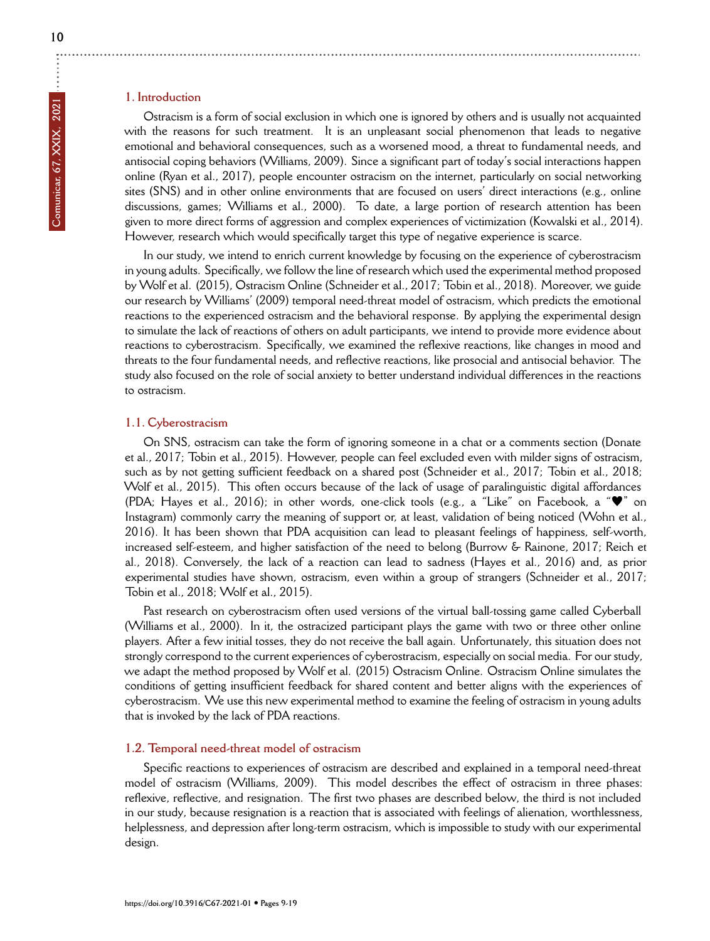# **1. Introduction**

Ostracism is a form of social exclusion in which one is ignored by others and is usually not acquainted with the reasons for such treatment. It is an unpleasant social phenomenon that leads to negative emotional and behavioral consequences, such as a worsened mood, a threat to fundamental needs, and antisocial coping behaviors (Williams, 2009). Since a significant part of today's social interactions happen online (Ryan et al., 2017), people encounter ostracism on the internet, particularly on social networking sites (SNS) and in other online environments that are focused on users' direct interactions (e.g., online discussions, games; Williams et al., 2000). To date, a large portion of research attention has been given to more direct forms of aggression and complex experiences of victimization (Kowalski et al., 2014). However, research which would specifically target this type of negative experience is scarce.

In our study, we intend to enrich current knowledge by focusing on the experience of cyberostracism in young adults. Specifically, we follow the line of research which used the experimental method proposed by Wolf et al. (2015), Ostracism Online (Schneider et al., 2017; Tobin et al., 2018). Moreover, we guide our research by Williams' (2009) temporal need-threat model of ostracism, which predicts the emotional reactions to the experienced ostracism and the behavioral response. By applying the experimental design to simulate the lack of reactions of others on adult participants, we intend to provide more evidence about reactions to cyberostracism. Specifically, we examined the reflexive reactions, like changes in mood and threats to the four fundamental needs, and reflective reactions, like prosocial and antisocial behavior. The study also focused on the role of social anxiety to better understand individual differences in the reactions to ostracism.

#### **1.1. Cyberostracism**

On SNS, ostracism can take the form of ignoring someone in a chat or a comments section (Donate et al., 2017; Tobin et al., 2015). However, people can feel excluded even with milder signs of ostracism, such as by not getting sufficient feedback on a shared post (Schneider et al., 2017; Tobin et al., 2018; Wolf et al., 2015). This often occurs because of the lack of usage of paralinguistic digital affordances (PDA; Hayes et al., 2016); in other words, one-click tools (e.g., a "Like" on Facebook, a "♥" on Instagram) commonly carry the meaning of support or, at least, validation of being noticed (Wohn et al., 2016). It has been shown that PDA acquisition can lead to pleasant feelings of happiness, self-worth, increased self-esteem, and higher satisfaction of the need to belong (Burrow & Rainone, 2017; Reich et al., 2018). Conversely, the lack of a reaction can lead to sadness (Hayes et al., 2016) and, as prior experimental studies have shown, ostracism, even within a group of strangers (Schneider et al., 2017; Tobin et al., 2018; Wolf et al., 2015).

Past research on cyberostracism often used versions of the virtual ball-tossing game called Cyberball (Williams et al., 2000). In it, the ostracized participant plays the game with two or three other online players. After a few initial tosses, they do not receive the ball again. Unfortunately, this situation does not strongly correspond to the current experiences of cyberostracism, especially on social media. For our study, we adapt the method proposed by Wolf et al. (2015) Ostracism Online. Ostracism Online simulates the conditions of getting insufficient feedback for shared content and better aligns with the experiences of cyberostracism. We use this new experimental method to examine the feeling of ostracism in young adults that is invoked by the lack of PDA reactions.

#### **1.2. Temporal need-threat model of ostracism**

Specific reactions to experiences of ostracism are described and explained in a temporal need-threat model of ostracism (Williams, 2009). This model describes the effect of ostracism in three phases: reflexive, reflective, and resignation. The first two phases are described below, the third is not included in our study, because resignation is a reaction that is associated with feelings of alienation, worthlessness, helplessness, and depression after long-term ostracism, which is impossible to study with our experimental design.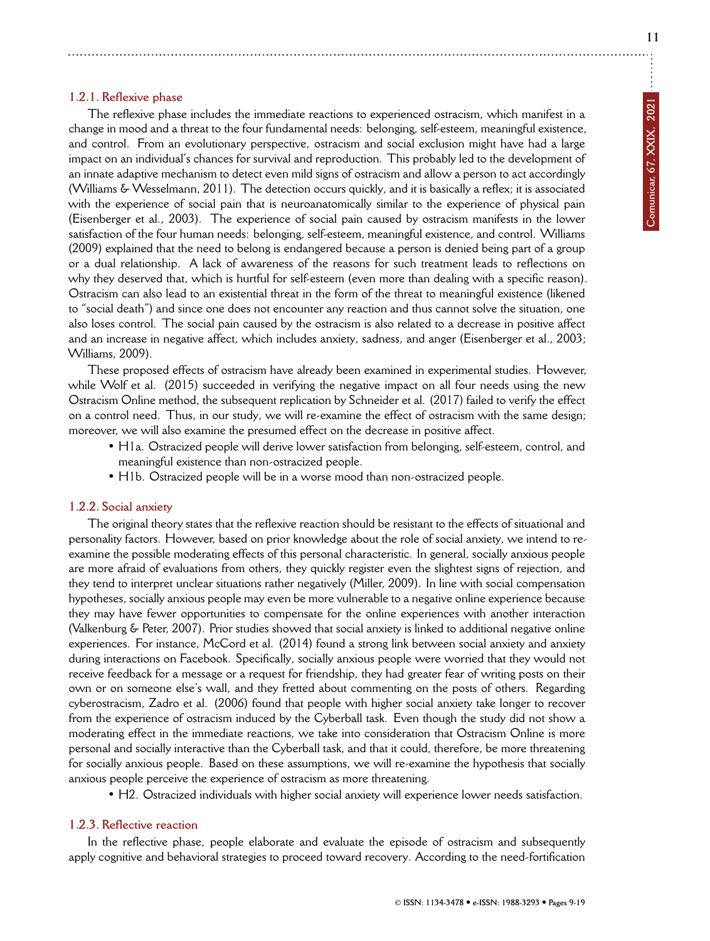**11**

# **1.2.1. Reflexive phase**

The reflexive phase includes the immediate reactions to experienced ostracism, which manifest in a change in mood and a threat to the four fundamental needs: belonging, self-esteem, meaningful existence, and control. From an evolutionary perspective, ostracism and social exclusion might have had a large impact on an individual's chances for survival and reproduction. This probably led to the development of an innate adaptive mechanism to detect even mild signs of ostracism and allow a person to act accordingly (Williams & Wesselmann, 2011). The detection occurs quickly, and it is basically a reflex; it is associated with the experience of social pain that is neuroanatomically similar to the experience of physical pain (Eisenberger et al., 2003). The experience of social pain caused by ostracism manifests in the lower satisfaction of the four human needs: belonging, self-esteem, meaningful existence, and control. Williams (2009) explained that the need to belong is endangered because a person is denied being part of a group or a dual relationship. A lack of awareness of the reasons for such treatment leads to reflections on why they deserved that, which is hurtful for self-esteem (even more than dealing with a specific reason). Ostracism can also lead to an existential threat in the form of the threat to meaningful existence (likened to "social death") and since one does not encounter any reaction and thus cannot solve the situation, one also loses control. The social pain caused by the ostracism is also related to a decrease in positive affect and an increase in negative affect, which includes anxiety, sadness, and anger (Eisenberger et al., 2003; Williams, 2009).

These proposed effects of ostracism have already been examined in experimental studies. However, while Wolf et al. (2015) succeeded in verifying the negative impact on all four needs using the new Ostracism Online method, the subsequent replication by Schneider et al. (2017) failed to verify the effect on a control need. Thus, in our study, we will re-examine the effect of ostracism with the same design; moreover, we will also examine the presumed effect on the decrease in positive affect.

- H1a. Ostracized people will derive lower satisfaction from belonging, self-esteem, control, and meaningful existence than non-ostracized people.
- H1b. Ostracized people will be in a worse mood than non-ostracized people.

#### **1.2.2. Social anxiety**

The original theory states that the reflexive reaction should be resistant to the effects of situational and personality factors. However, based on prior knowledge about the role of social anxiety, we intend to reexamine the possible moderating effects of this personal characteristic. In general, socially anxious people are more afraid of evaluations from others, they quickly register even the slightest signs of rejection, and they tend to interpret unclear situations rather negatively (Miller, 2009). In line with social compensation hypotheses, socially anxious people may even be more vulnerable to a negative online experience because they may have fewer opportunities to compensate for the online experiences with another interaction (Valkenburg & Peter, 2007). Prior studies showed that social anxiety is linked to additional negative online experiences. For instance, McCord et al. (2014) found a strong link between social anxiety and anxiety during interactions on Facebook. Specifically, socially anxious people were worried that they would not receive feedback for a message or a request for friendship, they had greater fear of writing posts on their own or on someone else's wall, and they fretted about commenting on the posts of others. Regarding cyberostracism, Zadro et al. (2006) found that people with higher social anxiety take longer to recover from the experience of ostracism induced by the Cyberball task. Even though the study did not show a moderating effect in the immediate reactions, we take into consideration that Ostracism Online is more personal and socially interactive than the Cyberball task, and that it could, therefore, be more threatening for socially anxious people. Based on these assumptions, we will re-examine the hypothesis that socially anxious people perceive the experience of ostracism as more threatening.

• H2. Ostracized individuals with higher social anxiety will experience lower needs satisfaction.

#### **1.2.3. Reflective reaction**

In the reflective phase, people elaborate and evaluate the episode of ostracism and subsequently apply cognitive and behavioral strategies to proceed toward recovery. According to the need-fortification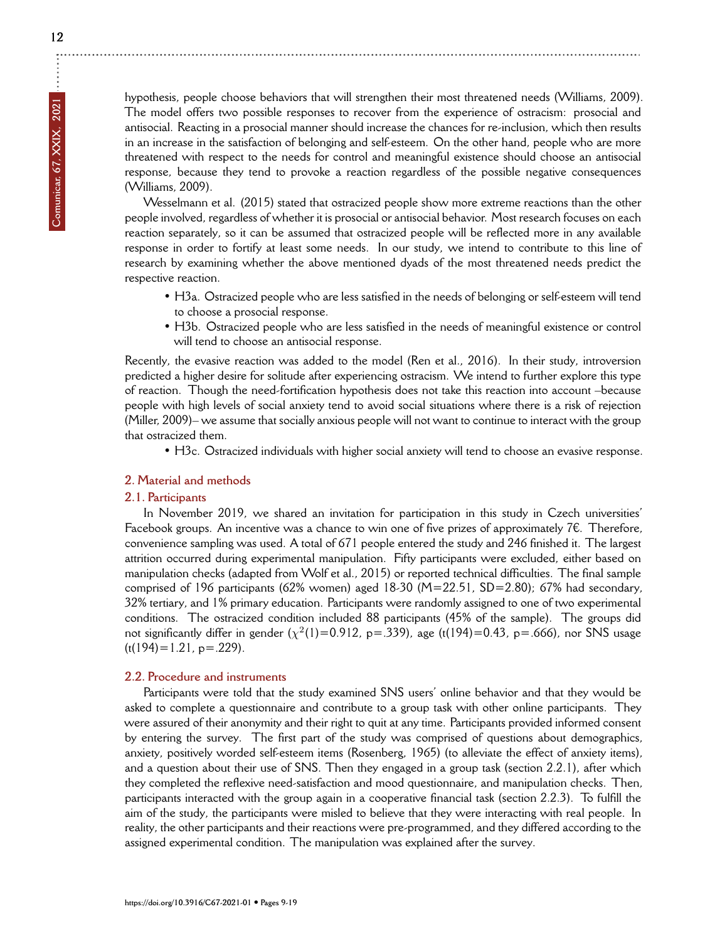hypothesis, people choose behaviors that will strengthen their most threatened needs (Williams, 2009). The model offers two possible responses to recover from the experience of ostracism: prosocial and antisocial. Reacting in a prosocial manner should increase the chances for re-inclusion, which then results in an increase in the satisfaction of belonging and self-esteem. On the other hand, people who are more threatened with respect to the needs for control and meaningful existence should choose an antisocial response, because they tend to provoke a reaction regardless of the possible negative consequences (Williams, 2009).

Wesselmann et al. (2015) stated that ostracized people show more extreme reactions than the other people involved, regardless of whether it is prosocial or antisocial behavior. Most research focuses on each reaction separately, so it can be assumed that ostracized people will be reflected more in any available response in order to fortify at least some needs. In our study, we intend to contribute to this line of research by examining whether the above mentioned dyads of the most threatened needs predict the respective reaction.

- H3a. Ostracized people who are less satisfied in the needs of belonging or self-esteem will tend to choose a prosocial response.
- H3b. Ostracized people who are less satisfied in the needs of meaningful existence or control will tend to choose an antisocial response.

Recently, the evasive reaction was added to the model (Ren et al., 2016). In their study, introversion predicted a higher desire for solitude after experiencing ostracism. We intend to further explore this type of reaction. Though the need-fortification hypothesis does not take this reaction into account –because people with high levels of social anxiety tend to avoid social situations where there is a risk of rejection (Miller, 2009)– we assume that socially anxious people will not want to continue to interact with the group that ostracized them.

• H3c. Ostracized individuals with higher social anxiety will tend to choose an evasive response.

#### **2. Material and methods**

#### **2.1. Participants**

In November 2019, we shared an invitation for participation in this study in Czech universities' Facebook groups. An incentive was a chance to win one of five prizes of approximately 7 $\epsilon$ . Therefore, convenience sampling was used. A total of 671 people entered the study and 246 finished it. The largest attrition occurred during experimental manipulation. Fifty participants were excluded, either based on manipulation checks (adapted from Wolf et al., 2015) or reported technical difficulties. The final sample comprised of 196 participants (62% women) aged 18-30 (M=22.51, SD=2.80); 67% had secondary, 32% tertiary, and 1% primary education. Participants were randomly assigned to one of two experimental conditions. The ostracized condition included 88 participants (45% of the sample). The groups did not significantly differ in gender  $(\chi^2(1)=0.912, p=.339)$ , age (t(194)=0.43, p=.666), nor SNS usage  $(t(194)=1.21, p=.229).$ 

#### **2.2. Procedure and instruments**

Participants were told that the study examined SNS users' online behavior and that they would be asked to complete a questionnaire and contribute to a group task with other online participants. They were assured of their anonymity and their right to quit at any time. Participants provided informed consent by entering the survey. The first part of the study was comprised of questions about demographics, anxiety, positively worded self-esteem items (Rosenberg, 1965) (to alleviate the effect of anxiety items), and a question about their use of SNS. Then they engaged in a group task (section 2.2.1), after which they completed the reflexive need-satisfaction and mood questionnaire, and manipulation checks. Then, participants interacted with the group again in a cooperative financial task (section 2.2.3). To fulfill the aim of the study, the participants were misled to believe that they were interacting with real people. In reality, the other participants and their reactions were pre-programmed, and they differed according to the assigned experimental condition. The manipulation was explained after the survey.

÷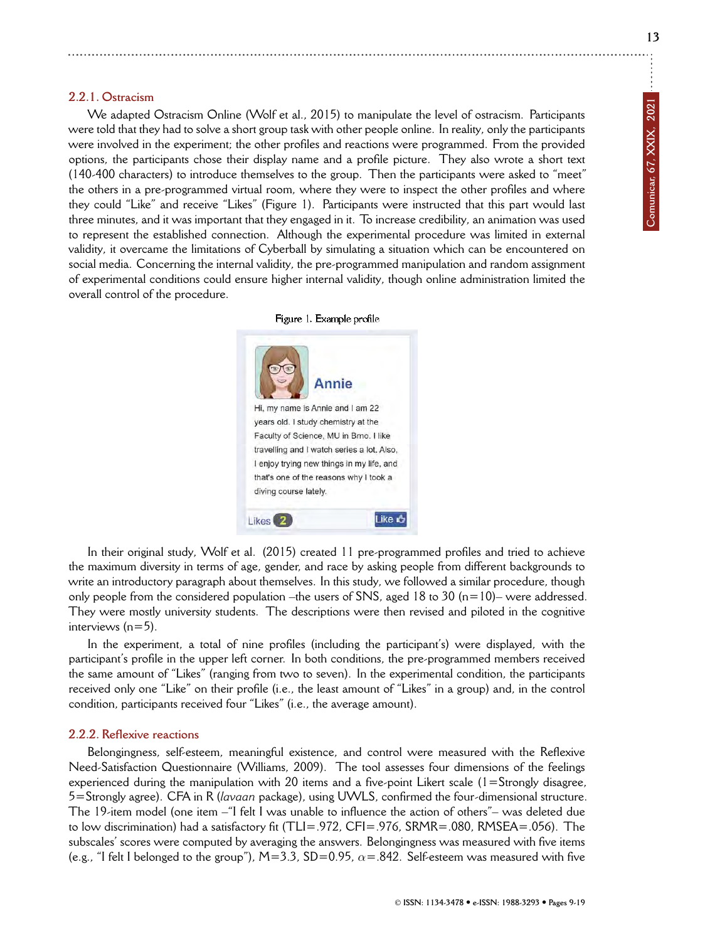**13**

#### **2.2.1. Ostracism**

We adapted Ostracism Online (Wolf et al., 2015) to manipulate the level of ostracism. Participants were told that they had to solve a short group task with other people online. In reality, only the participants were involved in the experiment; the other profiles and reactions were programmed. From the provided options, the participants chose their display name and a profile picture. They also wrote a short text (140-400 characters) to introduce themselves to the group. Then the participants were asked to "meet" the others in a pre-programmed virtual room, where they were to inspect the other profiles and where they could "Like" and receive "Likes" (Figure 1). Participants were instructed that this part would last three minutes, and it was important that they engaged in it. To increase credibility, an animation was used to represent the established connection. Although the experimental procedure was limited in external validity, it overcame the limitations of Cyberball by simulating a situation which can be encountered on social media. Concerning the internal validity, the pre-programmed manipulation and random assignment of experimental conditions could ensure higher internal validity, though online administration limited the overall control of the procedure.





In their original study, Wolf et al. (2015) created 11 pre-programmed profiles and tried to achieve the maximum diversity in terms of age, gender, and race by asking people from different backgrounds to write an introductory paragraph about themselves. In this study, we followed a similar procedure, though only people from the considered population –the users of SNS, aged 18 to 30 ( $n=10$ )– were addressed. They were mostly university students. The descriptions were then revised and piloted in the cognitive interviews (n=5).

In the experiment, a total of nine profiles (including the participant's) were displayed, with the participant's profile in the upper left corner. In both conditions, the pre-programmed members received the same amount of "Likes" (ranging from two to seven). In the experimental condition, the participants received only one "Like" on their profile (i.e., the least amount of "Likes" in a group) and, in the control condition, participants received four "Likes" (i.e., the average amount).

#### **2.2.2. Reflexive reactions**

Belongingness, self-esteem, meaningful existence, and control were measured with the Reflexive Need-Satisfaction Questionnaire (Williams, 2009). The tool assesses four dimensions of the feelings experienced during the manipulation with 20 items and a five-point Likert scale  $(1 = \text{Strongly disagree},$ 5=Strongly agree). CFA in R (*lavaan* package), using UWLS, confirmed the four-dimensional structure. The 19-item model (one item –"I felt I was unable to influence the action of others"– was deleted due to low discrimination) had a satisfactory fit (TLI=.972, CFI=.976, SRMR=.080, RMSEA=.056). The subscales' scores were computed by averaging the answers. Belongingness was measured with five items (e.g., "I felt I belonged to the group"),  $M=3.3$ ,  $SD=0.95$ ,  $\alpha = .842$ . Self-esteem was measured with five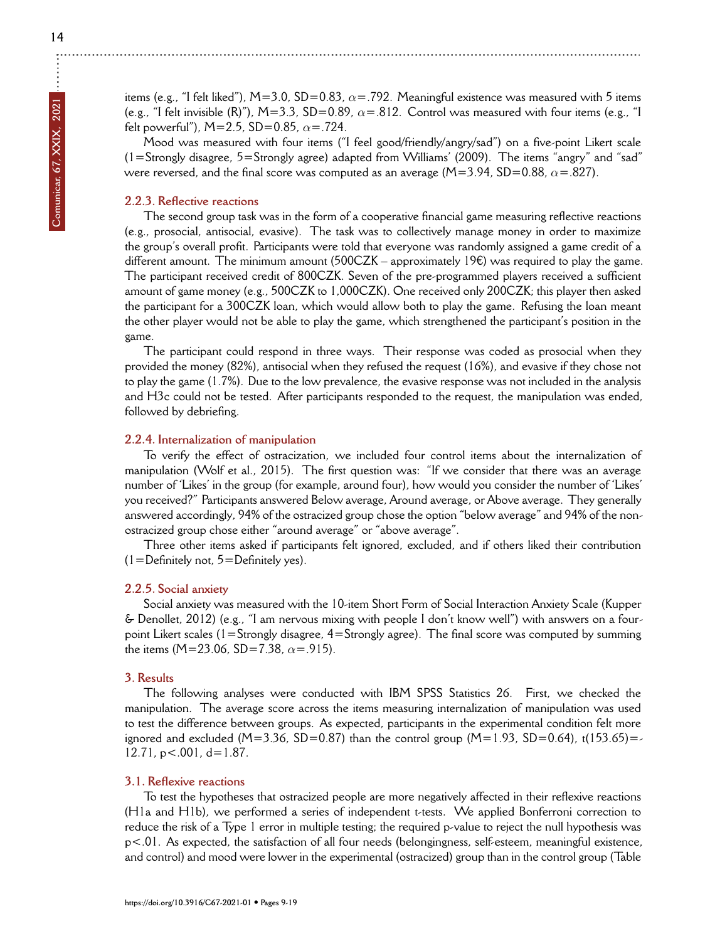$\ddot{\cdot}$ 

items (e.g., "I felt liked"), M=3.0, SD=0.83, *α*=.792. Meaningful existence was measured with 5 items (e.g., "I felt invisible (R)"), M=3.3, SD=0.89,  $\alpha$ =.812. Control was measured with four items (e.g., "I felt powerful"), M=2.5, SD=0.85, *α*=.724.

Mood was measured with four items ("I feel good/friendly/angry/sad") on a five-point Likert scale  $(1=$ Strongly disagree, 5=Strongly agree) adapted from Williams' (2009). The items "angry" and "sad" were reversed, and the final score was computed as an average ( $M=3.94$ , SD=0.88,  $\alpha$ =.827).

# **2.2.3. Reflective reactions**

The second group task was in the form of a cooperative financial game measuring reflective reactions (e.g., prosocial, antisocial, evasive). The task was to collectively manage money in order to maximize the group's overall profit. Participants were told that everyone was randomly assigned a game credit of a different amount. The minimum amount (500CZK – approximately 19 $\epsilon$ ) was required to play the game. The participant received credit of 800CZK. Seven of the pre-programmed players received a sufficient amount of game money (e.g., 500CZK to 1,000CZK). One received only 200CZK; this player then asked the participant for a 300CZK loan, which would allow both to play the game. Refusing the loan meant the other player would not be able to play the game, which strengthened the participant's position in the game.

The participant could respond in three ways. Their response was coded as prosocial when they provided the money (82%), antisocial when they refused the request (16%), and evasive if they chose not to play the game (1.7%). Due to the low prevalence, the evasive response was not included in the analysis and H3c could not be tested. After participants responded to the request, the manipulation was ended, followed by debriefing.

# **2.2.4. Internalization of manipulation**

To verify the effect of ostracization, we included four control items about the internalization of manipulation (Wolf et al., 2015). The first question was: "If we consider that there was an average number of 'Likes' in the group (for example, around four), how would you consider the number of 'Likes' you received?" Participants answered Below average, Around average, or Above average. They generally answered accordingly, 94% of the ostracized group chose the option "below average" and 94% of the nonostracized group chose either "around average" or "above average".

Three other items asked if participants felt ignored, excluded, and if others liked their contribution  $(1=Definitely not, 5=Definitely yes)$ .

#### **2.2.5. Social anxiety**

Social anxiety was measured with the 10-item Short Form of Social Interaction Anxiety Scale (Kupper & Denollet, 2012) (e.g., "I am nervous mixing with people I don't know well") with answers on a fourpoint Likert scales (1=Strongly disagree, 4=Strongly agree). The final score was computed by summing the items (M=23.06, SD=7.38, *α*=.915).

#### **3. Results**

The following analyses were conducted with IBM SPSS Statistics 26. First, we checked the manipulation. The average score across the items measuring internalization of manipulation was used to test the difference between groups. As expected, participants in the experimental condition felt more ignored and excluded (M=3.36, SD=0.87) than the control group (M=1.93, SD=0.64), t(153.65)=  $12.71$ ,  $p < .001$ ,  $d = 1.87$ .

#### **3.1. Reflexive reactions**

To test the hypotheses that ostracized people are more negatively affected in their reflexive reactions (H1a and H1b), we performed a series of independent t-tests. We applied Bonferroni correction to reduce the risk of a Type 1 error in multiple testing; the required p-value to reject the null hypothesis was p<.01. As expected, the satisfaction of all four needs (belongingness, self-esteem, meaningful existence, and control) and mood were lower in the experimental (ostracized) group than in the control group (Table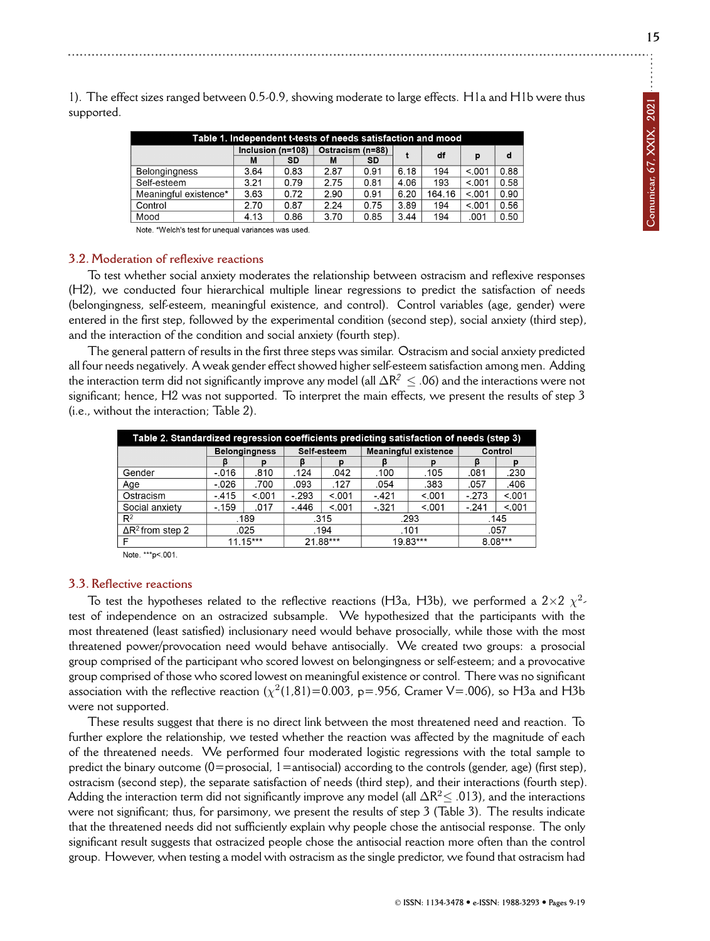Table 1. Independent t-tests of needs satisfaction and mood Inclusion (n=108) Ostracism (n=88) df  $\mathbf{d}$  $\ddot{\phantom{1}}$ p  $\overline{SD}$  $\overline{SD}$  $\overline{M}$  $\overline{M}$  $6.18$  $\frac{1}{5.001}$  $3.64$  $0.83$  $2.87$  $0.91$  $\overline{100}$  $0.88$ **Belongingness** Self-esteem  $3.21$  $0.79$  $2.75$  $0.81$  $4.06$  $193$  $\overline{5.001}$  $0.58$  $2.90$ Meaningful existence<sup>®</sup> 3.63  $0.72$  $0.91$  $6.20$ 164.16  $< .001$  $0.90$  $2.70$  $0.87$  $2.24$  $0.75$ Control  $3.89$ 194  $\overline{5.001}$  $0.56$ Mood  $4.13$  $0.86$  $3.70$  $0.85$  $3.44$ 194  $001$  $0.50$ 

1). The effect sizes ranged between 0.5-0.9, showing moderate to large effects. H1a and H1b were thus supported.

Note. \*Welch's test for unequal variances was used.

# **3.2. Moderation of reflexive reactions**

To test whether social anxiety moderates the relationship between ostracism and reflexive responses (H2), we conducted four hierarchical multiple linear regressions to predict the satisfaction of needs (belongingness, self-esteem, meaningful existence, and control). Control variables (age, gender) were entered in the first step, followed by the experimental condition (second step), social anxiety (third step), and the interaction of the condition and social anxiety (fourth step).

The general pattern of results in the first three steps was similar. Ostracism and social anxiety predicted all four needs negatively. A weak gender effect showed higher self-esteem satisfaction among men. Adding the interaction term did not significantly improve any model (all ∆R *<sup>2</sup> ≤* .06) and the interactions were not significant; hence, H2 was not supported. To interpret the main effects, we present the results of step 3 (i.e., without the interaction; Table 2).

| Table 2. Standardized regression coefficients predicting satisfaction of needs (step 3) |                      |       |             |         |          |                             |           |       |  |  |  |  |  |
|-----------------------------------------------------------------------------------------|----------------------|-------|-------------|---------|----------|-----------------------------|-----------|-------|--|--|--|--|--|
|                                                                                         | <b>Belongingness</b> |       | Self-esteem |         |          | <b>Meaningful existence</b> | Control   |       |  |  |  |  |  |
|                                                                                         |                      |       |             |         |          |                             |           |       |  |  |  |  |  |
| Gender                                                                                  | $-016$               | .810  | .124        | .042    | .100     | .105                        | .081      | .230  |  |  |  |  |  |
| Age                                                                                     | $-0.026$             | .700  | .093        | .127    | .054     | .383                        | .057      | .406  |  |  |  |  |  |
| Ostracism                                                                               | - 415                | < 001 | $-293$      | < 001   | $-421$   | < 001                       | $-273$    | < 001 |  |  |  |  |  |
| Social anxiety                                                                          | $-159$               | .017  | $-.446$     | < 0.001 | $-321$   | < 001                       | $-.241$   | < 001 |  |  |  |  |  |
| $R^2$                                                                                   | .189                 |       | .315        |         | .293     |                             | .145      |       |  |  |  |  |  |
| $\Delta$ R <sup>2</sup> from step 2                                                     | .025                 |       | .194        |         | .101     |                             | .057      |       |  |  |  |  |  |
|                                                                                         | $11.15***$           |       | 21.88***    |         | 19.83*** |                             | $8.08***$ |       |  |  |  |  |  |

Note. \*\*\* p<.001

# **3.3. Reflective reactions**

To test the hypotheses related to the reflective reactions (H3a, H3b), we performed a  $2 \times 2 \times^2$ test of independence on an ostracized subsample. We hypothesized that the participants with the most threatened (least satisfied) inclusionary need would behave prosocially, while those with the most threatened power/provocation need would behave antisocially. We created two groups: a prosocial group comprised of the participant who scored lowest on belongingness or self-esteem; and a provocative group comprised of those who scored lowest on meaningful existence or control. There was no significant association with the reflective reaction ( $\chi^2(1,81)$ =0.003, p=.956, Cramer V=.006), so H3a and H3b were not supported.

These results suggest that there is no direct link between the most threatened need and reaction. To further explore the relationship, we tested whether the reaction was affected by the magnitude of each of the threatened needs. We performed four moderated logistic regressions with the total sample to predict the binary outcome (0=prosocial, 1=antisocial) according to the controls (gender, age) (first step), ostracism (second step), the separate satisfaction of needs (third step), and their interactions (fourth step). Adding the interaction term did not significantly improve any model (all ∆R <sup>2</sup>*<sup>≤</sup>* .013), and the interactions were not significant; thus, for parsimony, we present the results of step 3 (Table 3). The results indicate that the threatened needs did not sufficiently explain why people chose the antisocial response. The only significant result suggests that ostracized people chose the antisocial reaction more often than the control group. However, when testing a model with ostracism as the single predictor, we found that ostracism had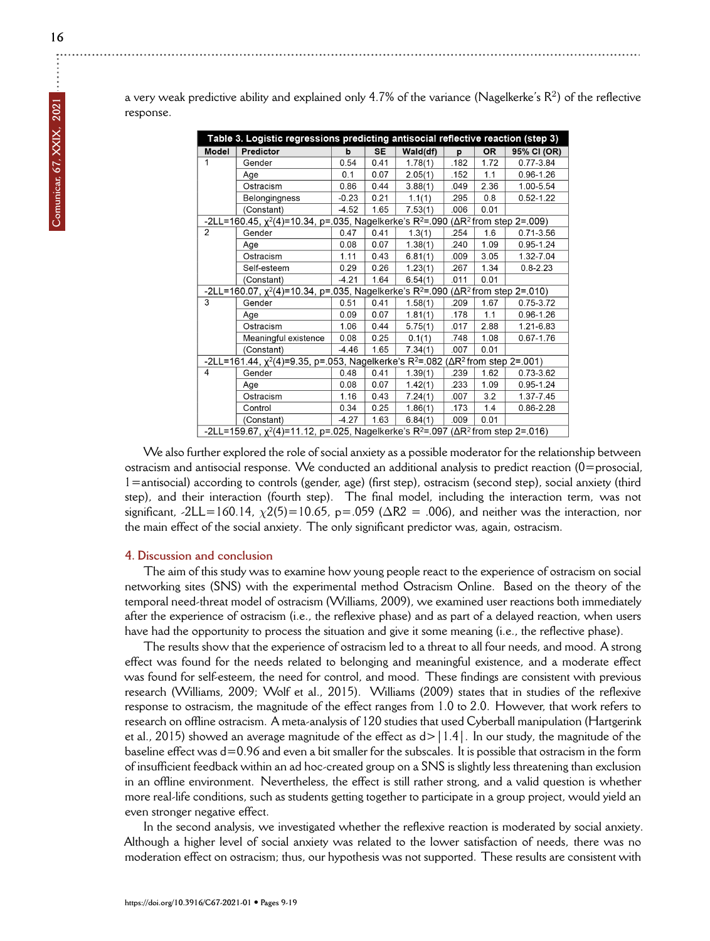|                                                                                                                        | Table 3. Logistic regressions predicting antisocial reflective reaction (step 3)                                       |         |           |          |      |           |               |  |  |
|------------------------------------------------------------------------------------------------------------------------|------------------------------------------------------------------------------------------------------------------------|---------|-----------|----------|------|-----------|---------------|--|--|
| Model                                                                                                                  | Predictor                                                                                                              | b       | <b>SE</b> | Wald(df) | p    | <b>OR</b> | 95% CI (OR)   |  |  |
| 1                                                                                                                      | Gender                                                                                                                 | 0.54    | 0.41      | 1.78(1)  | .182 | 1.72      | 0.77-3.84     |  |  |
|                                                                                                                        | Age                                                                                                                    | 0.1     | 0.07      | 2.05(1)  | .152 | 1.1       | $0.96 - 1.26$ |  |  |
|                                                                                                                        | Ostracism                                                                                                              | 0.86    | 0.44      | 3.88(1)  | .049 | 2.36      | 1.00-5.54     |  |  |
|                                                                                                                        | Belongingness                                                                                                          | $-0.23$ | 0.21      | 1.1(1)   | .295 | 0.8       | $0.52 - 1.22$ |  |  |
|                                                                                                                        | (Constant)                                                                                                             | $-4.52$ | 1.65      | 7.53(1)  | .006 | 0.01      |               |  |  |
| -2LL=160.45, $\chi^2(4)$ =10.34, p=.035, Nagelkerke's R <sup>2</sup> =.090 ( $\Delta$ R <sup>2</sup> from step 2=.009) |                                                                                                                        |         |           |          |      |           |               |  |  |
| 2                                                                                                                      | Gender                                                                                                                 | 0.47    | 0.41      | 1.3(1)   | .254 | 1.6       | $0.71 - 3.56$ |  |  |
|                                                                                                                        | Age                                                                                                                    | 0.08    | 0.07      | 1.38(1)  | .240 | 1.09      | 0.95-1.24     |  |  |
|                                                                                                                        | Ostracism                                                                                                              | 1.11    | 0.43      | 6.81(1)  | .009 | 3.05      | 1.32-7.04     |  |  |
|                                                                                                                        | Self-esteem                                                                                                            | 0.29    | 0.26      | 1.23(1)  | .267 | 1.34      | $0.8 - 2.23$  |  |  |
|                                                                                                                        | (Constant)                                                                                                             | $-4.21$ | 1.64      | 6.54(1)  | .011 | 0.01      |               |  |  |
|                                                                                                                        | -2LL=160.07, $\chi^2(4)$ =10.34, p=.035, Nagelkerke's R <sup>2</sup> =.090 ( $\Delta$ R <sup>2</sup> from step 2=.010) |         |           |          |      |           |               |  |  |
| 3                                                                                                                      | Gender                                                                                                                 | 0.51    | 0.41      | 1.58(1)  | .209 | 1.67      | 0.75-3.72     |  |  |
|                                                                                                                        | Age                                                                                                                    | 0.09    | 0.07      | 1.81(1)  | .178 | 1.1       | $0.96 - 1.26$ |  |  |
|                                                                                                                        | Ostracism                                                                                                              | 1.06    | 0.44      | 5.75(1)  | .017 | 2.88      | 1.21-6.83     |  |  |
|                                                                                                                        | Meaningful existence                                                                                                   | 0.08    | 0.25      | 0.1(1)   | .748 | 1.08      | $0.67 - 1.76$ |  |  |
|                                                                                                                        | (Constant)                                                                                                             | $-4.46$ | 1.65      | 7.34(1)  | .007 | 0.01      |               |  |  |
| -2LL=161.44, $\chi^2(4)$ =9.35, p=.053, Nagelkerke's R <sup>2</sup> =.082 ( $\Delta$ R <sup>2</sup> from step 2=.001)  |                                                                                                                        |         |           |          |      |           |               |  |  |
| $\overline{4}$                                                                                                         | Gender                                                                                                                 | 0.48    | 0.41      | 1.39(1)  | .239 | 1.62      | 0.73-3.62     |  |  |
|                                                                                                                        | Age                                                                                                                    | 0.08    | 0.07      | 1.42(1)  | .233 | 1.09      | $0.95 - 1.24$ |  |  |
|                                                                                                                        | Ostracism                                                                                                              | 1.16    | 0.43      | 7.24(1)  | .007 | 3.2       | 1.37-7.45     |  |  |
|                                                                                                                        | Control                                                                                                                | 0.34    | 0.25      | 1.86(1)  | .173 | 1.4       | 0.86-2.28     |  |  |
|                                                                                                                        | (Constant)                                                                                                             | $-4.27$ | 1.63      | 6.84(1)  | .009 | 0.01      |               |  |  |
|                                                                                                                        | -2LL=159.67, $\chi^2(4)$ =11.12, p=.025, Nagelkerke's R <sup>2</sup> =.097 ( $\Delta$ R <sup>2</sup> from step 2=.016) |         |           |          |      |           |               |  |  |

We also further explored the role of social anxiety as a possible moderator for the relationship between ostracism and antisocial response. We conducted an additional analysis to predict reaction (0=prosocial, 1=antisocial) according to controls (gender, age) (first step), ostracism (second step), social anxiety (third step), and their interaction (fourth step). The final model, including the interaction term, was not significant, -2LL=160.14,  $\chi$ 2(5)=10.65, p=.059 ( $\Delta$ R2 = .006), and neither was the interaction, nor the main effect of the social anxiety. The only significant predictor was, again, ostracism.

# **4. Discussion and conclusion**

The aim of this study was to examine how young people react to the experience of ostracism on social networking sites (SNS) with the experimental method Ostracism Online. Based on the theory of the temporal need-threat model of ostracism (Williams, 2009), we examined user reactions both immediately after the experience of ostracism (i.e., the reflexive phase) and as part of a delayed reaction, when users have had the opportunity to process the situation and give it some meaning (i.e., the reflective phase).

The results show that the experience of ostracism led to a threat to all four needs, and mood. A strong effect was found for the needs related to belonging and meaningful existence, and a moderate effect was found for self-esteem, the need for control, and mood. These findings are consistent with previous research (Williams, 2009; Wolf et al., 2015). Williams (2009) states that in studies of the reflexive response to ostracism, the magnitude of the effect ranges from 1.0 to 2.0. However, that work refers to research on offline ostracism. A meta-analysis of 120 studies that used Cyberball manipulation (Hartgerink et al., 2015) showed an average magnitude of the effect as  $d > |1.4|$ . In our study, the magnitude of the baseline effect was d=0.96 and even a bit smaller for the subscales. It is possible that ostracism in the form of insufficient feedback within an ad hoc-created group on a SNS is slightly less threatening than exclusion in an offline environment. Nevertheless, the effect is still rather strong, and a valid question is whether more real-life conditions, such as students getting together to participate in a group project, would yield an even stronger negative effect.

In the second analysis, we investigated whether the reflexive reaction is moderated by social anxiety. Although a higher level of social anxiety was related to the lower satisfaction of needs, there was no moderation effect on ostracism; thus, our hypothesis was not supported. These results are consistent with

 $\vdots$ 

**Comunicar, 67, XXIX, 2021**

Comunicar, 67, XXIX, 2021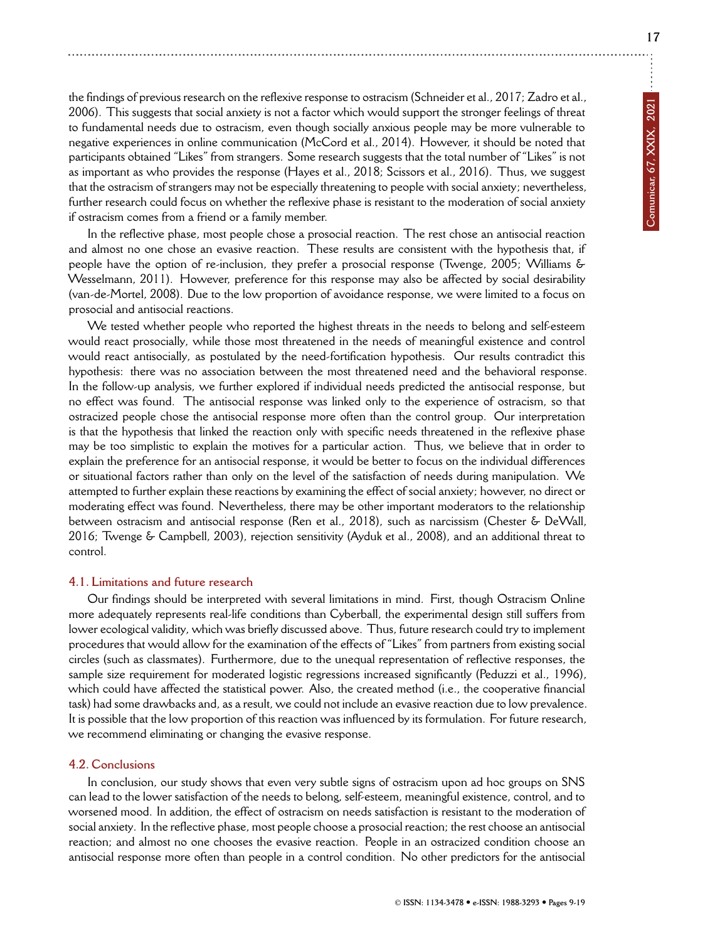the findings of previous research on the reflexive response to ostracism (Schneider et al., 2017; Zadro et al., 2006). This suggests that social anxiety is not a factor which would support the stronger feelings of threat to fundamental needs due to ostracism, even though socially anxious people may be more vulnerable to negative experiences in online communication (McCord et al., 2014). However, it should be noted that participants obtained "Likes" from strangers. Some research suggests that the total number of "Likes" is not as important as who provides the response (Hayes et al., 2018; Scissors et al., 2016). Thus, we suggest that the ostracism of strangers may not be especially threatening to people with social anxiety; nevertheless, further research could focus on whether the reflexive phase is resistant to the moderation of social anxiety if ostracism comes from a friend or a family member.

In the reflective phase, most people chose a prosocial reaction. The rest chose an antisocial reaction and almost no one chose an evasive reaction. These results are consistent with the hypothesis that, if people have the option of re-inclusion, they prefer a prosocial response (Twenge, 2005; Williams & Wesselmann, 2011). However, preference for this response may also be affected by social desirability (van-de-Mortel, 2008). Due to the low proportion of avoidance response, we were limited to a focus on prosocial and antisocial reactions.

We tested whether people who reported the highest threats in the needs to belong and self-esteem would react prosocially, while those most threatened in the needs of meaningful existence and control would react antisocially, as postulated by the need-fortification hypothesis. Our results contradict this hypothesis: there was no association between the most threatened need and the behavioral response. In the follow-up analysis, we further explored if individual needs predicted the antisocial response, but no effect was found. The antisocial response was linked only to the experience of ostracism, so that ostracized people chose the antisocial response more often than the control group. Our interpretation is that the hypothesis that linked the reaction only with specific needs threatened in the reflexive phase may be too simplistic to explain the motives for a particular action. Thus, we believe that in order to explain the preference for an antisocial response, it would be better to focus on the individual differences or situational factors rather than only on the level of the satisfaction of needs during manipulation. We attempted to further explain these reactions by examining the effect of social anxiety; however, no direct or moderating effect was found. Nevertheless, there may be other important moderators to the relationship between ostracism and antisocial response (Ren et al., 2018), such as narcissism (Chester & DeWall, 2016; Twenge & Campbell, 2003), rejection sensitivity (Ayduk et al., 2008), and an additional threat to control.

#### **4.1. Limitations and future research**

Our findings should be interpreted with several limitations in mind. First, though Ostracism Online more adequately represents real-life conditions than Cyberball, the experimental design still suffers from lower ecological validity, which was briefly discussed above. Thus, future research could try to implement procedures that would allow for the examination of the effects of "Likes" from partners from existing social circles (such as classmates). Furthermore, due to the unequal representation of reflective responses, the sample size requirement for moderated logistic regressions increased significantly (Peduzzi et al., 1996), which could have affected the statistical power. Also, the created method (i.e., the cooperative financial task) had some drawbacks and, as a result, we could not include an evasive reaction due to low prevalence. It is possible that the low proportion of this reaction was influenced by its formulation. For future research, we recommend eliminating or changing the evasive response.

# **4.2. Conclusions**

In conclusion, our study shows that even very subtle signs of ostracism upon ad hoc groups on SNS can lead to the lower satisfaction of the needs to belong, self-esteem, meaningful existence, control, and to worsened mood. In addition, the effect of ostracism on needs satisfaction is resistant to the moderation of social anxiety. In the reflective phase, most people choose a prosocial reaction; the rest choose an antisocial reaction; and almost no one chooses the evasive reaction. People in an ostracized condition choose an antisocial response more often than people in a control condition. No other predictors for the antisocial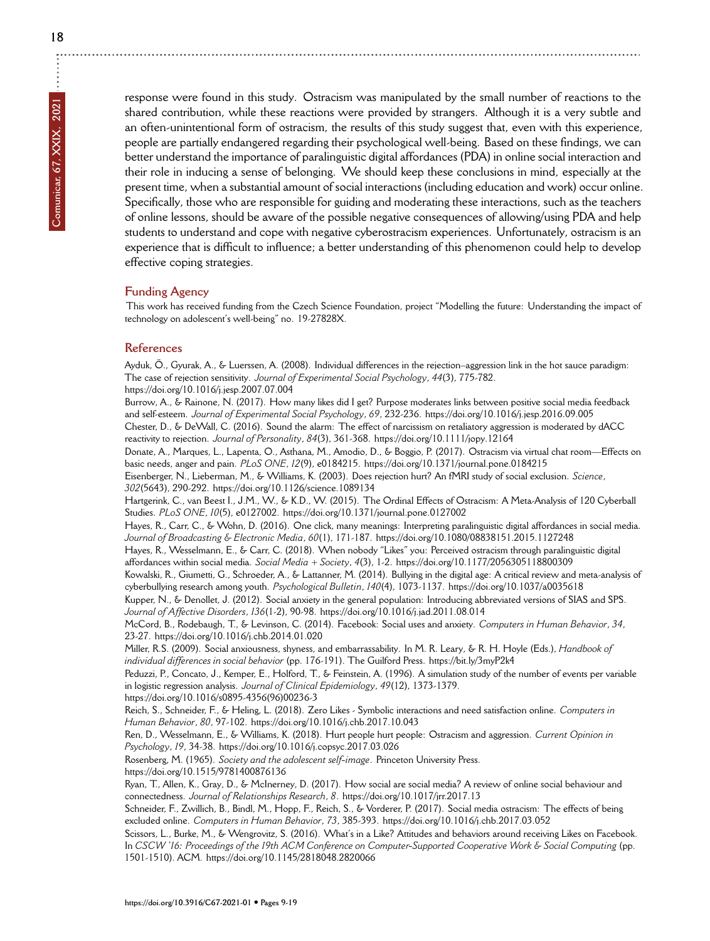**18**

 $\ddot{\cdot}$ 

response were found in this study. Ostracism was manipulated by the small number of reactions to the shared contribution, while these reactions were provided by strangers. Although it is a very subtle and an often-unintentional form of ostracism, the results of this study suggest that, even with this experience, people are partially endangered regarding their psychological well-being. Based on these findings, we can better understand the importance of paralinguistic digital affordances (PDA) in online social interaction and their role in inducing a sense of belonging. We should keep these conclusions in mind, especially at the present time, when a substantial amount of social interactions (including education and work) occur online. Specifically, those who are responsible for guiding and moderating these interactions, such as the teachers of online lessons, should be aware of the possible negative consequences of allowing/using PDA and help students to understand and cope with negative cyberostracism experiences. Unfortunately, ostracism is an experience that is difficult to influence; a better understanding of this phenomenon could help to develop effective coping strategies.

#### **Funding Agency**

This work has received funding from the Czech Science Foundation, project "Modelling the future: Understanding the impact of technology on adolescent's well-being" no. 19-27828X.

#### **References**

Ayduk, Ö., Gyurak, A., & Luerssen, A. (2008). Individual differences in the rejection–aggression link in the hot sauce paradigm: The case of rejection sensitivity. *Journal of Experimental Social Psychology*, *44*(3), 775-782. <https://doi.org/10.1016/j.jesp.2007.07.004>

Burrow, A., & Rainone, N. (2017). How many likes did I get? Purpose moderates links between positive social media feedback and self-esteem. *Journal of Experimental Social Psychology*, *69*, 232-236.<https://doi.org/10.1016/j.jesp.2016.09.005> Chester, D., & DeWall, C. (2016). Sound the alarm: The effect of narcissism on retaliatory aggression is moderated by dACC reactivity to rejection. *Journal of Personality*, *84*(3), 361-368.<https://doi.org/10.1111/jopy.12164>

Donate, A., Marques, L., Lapenta, O., Asthana, M., Amodio, D., & Boggio, P. (2017). Ostracism via virtual chat room—Effects on basic needs, anger and pain. *PLoS ONE*, *12*(9), e0184215.<https://doi.org/10.1371/journal.pone.0184215>

Eisenberger, N., Lieberman, M., & Williams, K. (2003). Does rejection hurt? An fMRI study of social exclusion. *Science*, *302*(5643), 290-292.<https://doi.org/10.1126/science.1089134>

Hartgerink, C., van Beest I., J.M., W., & K.D., W. (2015). The Ordinal Effects of Ostracism: A Meta-Analysis of 120 Cyberball Studies. *PLoS ONE*, *10*(5), e0127002.<https://doi.org/10.1371/journal.pone.0127002>

Hayes, R., Carr, C., & Wohn, D. (2016). One click, many meanings: Interpreting paralinguistic digital affordances in social media. *Journal of Broadcasting & Electronic Media*, *60*(1), 171-187.<https://doi.org/10.1080/08838151.2015.1127248>

Hayes, R., Wesselmann, E., & Carr, C. (2018). When nobody "Likes" you: Perceived ostracism through paralinguistic digital affordances within social media. *Social Media + Society*, *4*(3), 1-2.<https://doi.org/10.1177/2056305118800309>

Kowalski, R., Giumetti, G., Schroeder, A., & Lattanner, M. (2014). Bullying in the digital age: A critical review and meta-analysis of cyberbullying research among youth. *Psychological Bulletin*, *140*(4), 1073-1137.<https://doi.org/10.1037/a0035618>

Kupper, N., & Denollet, J. (2012). Social anxiety in the general population: Introducing abbreviated versions of SIAS and SPS. *Journal of Affective Disorders*, *136*(1-2), 90-98.<https://doi.org/10.1016/j.jad.2011.08.014>

McCord, B., Rodebaugh, T., & Levinson, C. (2014). Facebook: Social uses and anxiety. *Computers in Human Behavior*, *34*, 23-27.<https://doi.org/10.1016/j.chb.2014.01.020>

Miller, R.S. (2009). Social anxiousness, shyness, and embarrassability. In M. R. Leary, & R. H. Hoyle (Eds.), *Handbook of individual differences in social behavior* (pp. 176-191). The Guilford Press.<https://bit.ly/3myP2k4>

Peduzzi, P., Concato, J., Kemper, E., Holford, T., & Feinstein, A. (1996). A simulation study of the number of events per variable in logistic regression analysis. *Journal of Clinical Epidemiology*, *49*(12), 1373-1379. [https://doi.org/10.1016/s0895-4356\(96\)00236-3](https://doi.org/10.1016/s0895-4356(96)00236-3)

Reich, S., Schneider, F., & Heling, L. (2018). Zero Likes - Symbolic interactions and need satisfaction online. *Computers in Human Behavior*, *80*, 97-102.<https://doi.org/10.1016/j.chb.2017.10.043>

Ren, D., Wesselmann, E., & Williams, K. (2018). Hurt people hurt people: Ostracism and aggression. *Current Opinion in Psychology*, *19*, 34-38.<https://doi.org/10.1016/j.copsyc.2017.03.026>

Rosenberg, M. (1965). *Society and the adolescent self-image*. Princeton University Press. <https://doi.org/10.1515/9781400876136>

Ryan, T., Allen, K., Gray, D., & McInerney, D. (2017). How social are social media? A review of online social behaviour and connectedness. *Journal of Relationships Research*, *8*.<https://doi.org/10.1017/jrr.2017.13>

Schneider, F., Zwillich, B., Bindl, M., Hopp, F., Reich, S., & Vorderer, P. (2017). Social media ostracism: The effects of being excluded online. *Computers in Human Behavior*, *73*, 385-393.<https://doi.org/10.1016/j.chb.2017.03.052>

Scissors, L., Burke, M., & Wengrovitz, S. (2016). What's in a Like? Attitudes and behaviors around receiving Likes on Facebook. In *CSCW '16: Proceedings of the 19th ACM Conference on Computer-Supported Cooperative Work & Social Computing* (pp. 1501-1510). ACM.<https://doi.org/10.1145/2818048.2820066>